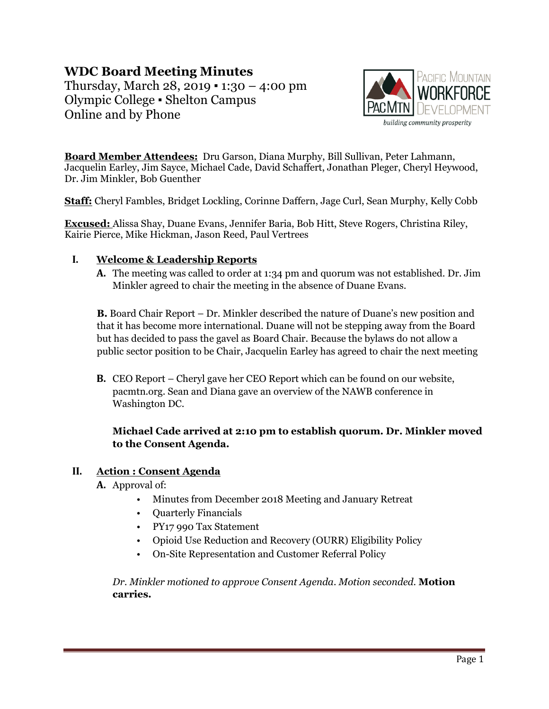# **WDC Board Meeting Minutes**

Thursday, March  $28$ ,  $2019 - 1:30 - 4:00$  pm Olympic College ▪ Shelton Campus Online and by Phone



**Board Member Attendees:** Dru Garson, Diana Murphy, Bill Sullivan, Peter Lahmann, Jacquelin Earley, Jim Sayce, Michael Cade, David Schaffert, Jonathan Pleger, Cheryl Heywood, Dr. Jim Minkler, Bob Guenther

**Staff:** Cheryl Fambles, Bridget Lockling, Corinne Daffern, Jage Curl, Sean Murphy, Kelly Cobb

**Excused:** Alissa Shay, Duane Evans, Jennifer Baria, Bob Hitt, Steve Rogers, Christina Riley, Kairie Pierce, Mike Hickman, Jason Reed, Paul Vertrees

#### **I. Welcome & Leadership Reports**

**A.** The meeting was called to order at 1:34 pm and quorum was not established. Dr. Jim Minkler agreed to chair the meeting in the absence of Duane Evans.

**B.** Board Chair Report – Dr. Minkler described the nature of Duane's new position and that it has become more international. Duane will not be stepping away from the Board but has decided to pass the gavel as Board Chair. Because the bylaws do not allow a public sector position to be Chair, Jacquelin Earley has agreed to chair the next meeting

**B.** CEO Report – Cheryl gave her CEO Report which can be found on our website, pacmtn.org. Sean and Diana gave an overview of the NAWB conference in Washington DC.

#### **Michael Cade arrived at 2:10 pm to establish quorum. Dr. Minkler moved to the Consent Agenda.**

#### **II. Action : Consent Agenda**

- **A.** Approval of:
	- Minutes from December 2018 Meeting and January Retreat
	- Quarterly Financials
	- PY17 990 Tax Statement
	- Opioid Use Reduction and Recovery (OURR) Eligibility Policy
	- On-Site Representation and Customer Referral Policy

*Dr. Minkler motioned to approve Consent Agenda. Motion seconded.* **Motion carries.**